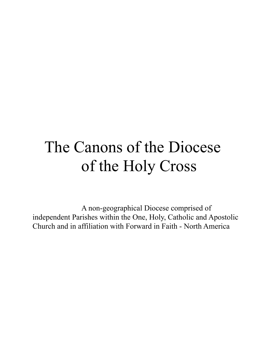# The Canons of the Diocese of the Holy Cross

A non-geographical Diocese comprised of independent Parishes within the One, Holy, Catholic and Apostolic Church and in affiliation with Forward in Faith - North America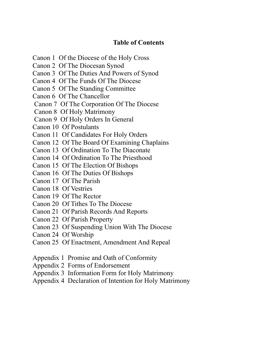# **Table of Contents**

- Canon 1 Of the Diocese of the Holy Cross
- Canon 2 Of The Diocesan Synod
- Canon 3 Of The Duties And Powers of Synod
- Canon 4 Of The Funds Of The Diocese
- Canon 5 Of The Standing Committee
- Canon 6 Of The Chancellor
- Canon 7 Of The Corporation Of The Diocese
- Canon 8 Of Holy Matrimony
- Canon 9 Of Holy Orders In General
- Canon 10 Of Postulants
- Canon 11 Of Candidates For Holy Orders
- Canon 12 Of The Board Of Examining Chaplains
- Canon 13 Of Ordination To The Diaconate
- Canon 14 Of Ordination To The Priesthood
- Canon 15 Of The Election Of Bishops
- Canon 16 Of The Duties Of Bishops
- Canon 17 Of The Parish
- Canon 18 Of Vestries
- Canon 19 Of The Rector
- Canon 20 Of Tithes To The Diocese
- Canon 21 Of Parish Records And Reports
- Canon 22 Of Parish Property
- Canon 23 Of Suspending Union With The Diocese
- Canon 24 Of Worship
- Canon 25 Of Enactment, Amendment And Repeal
- Appendix 1 Promise and Oath of Conformity
- Appendix 2 Forms of Endorsement
- Appendix 3 Information Form for Holy Matrimony
- Appendix 4 Declaration of Intention for Holy Matrimony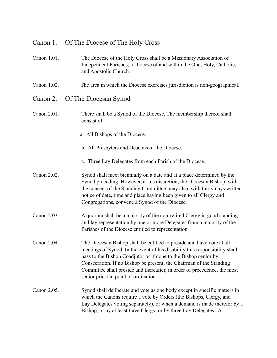# Canon 1. Of The Diocese of The Holy Cross

- Canon 1.01. The Diocese of the Holy Cross shall be a Missionary Association of Independent Parishes; a Diocese of and within the One, Holy, Catholic, and Apostolic Church.
- Canon 1.02. The area in which the Diocese exercises jurisdiction is non-geographical.
- Canon 2. Of The Diocesan Synod
- Canon 2.01. There shall be a Synod of the Diocese. The membership thereof shall consist of:
	- a. All Bishops of the Diocese.
	- b. All Presbyters and Deacons of the Diocese.
	- c. Three Lay Delegates from each Parish of the Diocese.
- Canon 2.02. Synod shall meet biennially on a date and at a place determined by the Synod preceding. However, at his discretion, the Diocesan Bishop, with the consent of the Standing Committee, may also, with thirty days written notice of date, time and place having been given to all Clergy and Congregations, convene a Synod of the Diocese.
- Canon 2.03. A quorum shall be a majority of the non-retired Clergy in good standing and lay representation by one or more Delegates from a majority of the Parishes of the Diocese entitled to representation.
- Canon 2.04. The Diocesan Bishop shall be entitled to preside and have vote at all meetings of Synod. In the event of his disability this responsibility shall pass to the Bishop Coadjutor or if none to the Bishop senior by Consecration. If no Bishop be present, the Chairman of the Standing Committee shall preside and thereafter, in order of precedence, the most senior priest in point of ordination.
- Canon 2.05. Synod shall deliberate and vote as one body except in specific matters in which the Canons require a vote by Orders (the Bishops, Clergy, and Lay Delegates voting separately), or when a demand is made therefor by a Bishop, or by at least three Clergy, or by three Lay Delegates. A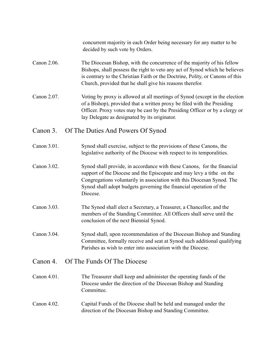concurrent majority in each Order being necessary for any matter to be decided by such vote by Orders.

- Canon 2.06. The Diocesan Bishop, with the concurrence of the majority of his fellow Bishops, shall possess the right to veto any act of Synod which he believes is contrary to the Christian Faith or the Doctrine, Polity, or Canons of this Church, provided that he shall give his reasons therefor.
- Canon 2.07. Voting by proxy is allowed at all meetings of Synod (except in the election of a Bishop), provided that a written proxy be filed with the Presiding Officer. Proxy votes may be cast by the Presiding Officer or by a clergy or lay Delegate as designated by its originator.

#### Canon 3. Of The Duties And Powers Of Synod

- Canon 3.01. Synod shall exercise, subject to the provisions of these Canons, the legislative authority of the Diocese with respect to its temporalities.
- Canon 3.02. Synod shall provide, in accordance with these Canons, for the financial support of the Diocese and the Episcopate and may levy a tithe on the Congregations voluntarily in association with this Diocesan Synod. The Synod shall adopt budgets governing the financial operation of the Diocese.
- Canon 3.03. The Synod shall elect a Secretary, a Treasurer, a Chancellor, and the members of the Standing Committee. All Officers shall serve until the conclusion of the next Biennial Synod.
- Canon 3.04. Synod shall, upon recommendation of the Diocesan Bishop and Standing Committee, formally receive and seat at Synod such additional qualifying Parishes as wish to enter into association with the Diocese.

#### Canon 4. Of The Funds Of The Diocese

- Canon 4.01. The Treasurer shall keep and administer the operating funds of the Diocese under the direction of the Diocesan Bishop and Standing **Committee**
- Canon 4.02. Capital Funds of the Diocese shall be held and managed under the direction of the Diocesan Bishop and Standing Committee.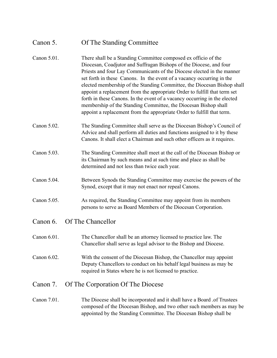# Canon 5. Of The Standing Committee

| Canon 5.01. | There shall be a Standing Committee composed ex officio of the<br>Diocesan, Coadjutor and Suffragan Bishops of the Diocese, and four<br>Priests and four Lay Communicants of the Diocese elected in the manner<br>set forth in these Canons. In the event of a vacancy occurring in the<br>elected membership of the Standing Committee, the Diocesan Bishop shall<br>appoint a replacement from the appropriate Order to fulfill that term set<br>forth in these Canons. In the event of a vacancy occurring in the elected<br>membership of the Standing Committee, the Diocesan Bishop shall<br>appoint a replacement from the appropriate Order to fulfill that term. |  |
|-------------|---------------------------------------------------------------------------------------------------------------------------------------------------------------------------------------------------------------------------------------------------------------------------------------------------------------------------------------------------------------------------------------------------------------------------------------------------------------------------------------------------------------------------------------------------------------------------------------------------------------------------------------------------------------------------|--|
| Canon 5.02. | The Standing Committee shall serve as the Diocesan Bishop's Council of<br>Advice and shall perform all duties and functions assigned to it by these<br>Canons. It shall elect a Chairman and such other officers as it requires.                                                                                                                                                                                                                                                                                                                                                                                                                                          |  |
| Canon 5.03. | The Standing Committee shall meet at the call of the Diocesan Bishop or<br>its Chairman by such means and at such time and place as shall be<br>determined and not less than twice each year.                                                                                                                                                                                                                                                                                                                                                                                                                                                                             |  |
| Canon 5.04. | Between Synods the Standing Committee may exercise the powers of the<br>Synod, except that it may not enact nor repeal Canons.                                                                                                                                                                                                                                                                                                                                                                                                                                                                                                                                            |  |
| Canon 5.05. | As required, the Standing Committee may appoint from its members<br>persons to serve as Board Members of the Diocesan Corporation.                                                                                                                                                                                                                                                                                                                                                                                                                                                                                                                                        |  |
| Canon 6.    | Of The Chancellor                                                                                                                                                                                                                                                                                                                                                                                                                                                                                                                                                                                                                                                         |  |
| Canon 6.01. | The Chancellor shall be an attorney licensed to practice law. The<br>Chancellor shall serve as legal advisor to the Bishop and Diocese.                                                                                                                                                                                                                                                                                                                                                                                                                                                                                                                                   |  |
| Canon 6.02  | With the consent of the Diocesan Bishop, the Chancellor may appoint<br>Deputy Chancellors to conduct on his behalf legal business as may be<br>required in States where he is not licensed to practice.                                                                                                                                                                                                                                                                                                                                                                                                                                                                   |  |
| Canon 7.    | Of The Corporation Of The Diocese                                                                                                                                                                                                                                                                                                                                                                                                                                                                                                                                                                                                                                         |  |
| Canon 7.01. | The Diocese shall be incorporated and it shall have a Board of Trustees<br>composed of the Diocesan Bishop, and two other such members as may be<br>appointed by the Standing Committee. The Diocesan Bishop shall be                                                                                                                                                                                                                                                                                                                                                                                                                                                     |  |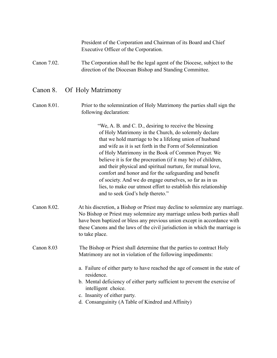President of the Corporation and Chairman of its Board and Chief Executive Officer of the Corporation.

Canon 7.02. The Corporation shall be the legal agent of the Diocese, subject to the direction of the Diocesan Bishop and Standing Committee.

# Canon 8. Of Holy Matrimony

Canon 8.01. Prior to the solemnization of Holy Matrimony the parties shall sign the following declaration:

> "We, A. B. and C. D., desiring to receive the blessing of Holy Matrimony in the Church, do solemnly declare that we hold marriage to be a lifelong union of husband and wife as it is set forth in the Form of Solemnization of Holy Matrimony in the Book of Common Prayer. We believe it is for the procreation (if it may be) of children, and their physical and spiritual nurture, for mutual love, comfort and honor and for the safeguarding and benefit of society. And we do engage ourselves, so far as in us lies, to make our utmost effort to establish this relationship and to seek God's help thereto."

Canon 8.02. At his discretion, a Bishop or Priest may decline to solemnize any marriage. No Bishop or Priest may solemnize any marriage unless both parties shall have been baptized or bless any previous union except in accordance with these Canons and the laws of the civil jurisdiction in which the marriage is to take place.

#### Canon 8.03 The Bishop or Priest shall determine that the parties to contract Holy Matrimony are not in violation of the following impediments:

- a. Failure of either party to have reached the age of consent in the state of residence.
- b. Mental deficiency of either party sufficient to prevent the exercise of intelligent choice.
- c. Insanity of either party.
- d. Consanguinity (A Table of Kindred and Affinity)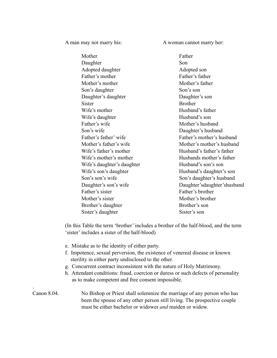A man may not marry his: A woman cannot marry her:

| Mother                     | Father                        |
|----------------------------|-------------------------------|
| Daughter                   | Son                           |
| Adopted daughter           | Adopted son                   |
| Father's mother            | Father's father               |
| Mother's mother            | Mother's father               |
| Son's daughter             | Son's son                     |
| Daughter's daughter        | Daughter's son                |
| Sister                     | <b>Brother</b>                |
| Wife's mother              | Husband's father              |
| Wife's daughter            | Husband's son                 |
| Father's wife              | Mother's husband              |
| Son's wife                 | Daughter's husband            |
| Father's father' wife      | Father's mother's husband     |
| Mother's father's wife     | Mother's mother's husband     |
| Wife's father's mother     | Husband's father's father     |
| Wife's mother's mother     | Husbands mother's father      |
| Wife's daughter's daughter | Husband's son's son           |
| Wife's son's daughter      | Husband's daughter's son      |
| Son's son's wife           | Son's daughter's husband      |
| Daughter's son's wife      | Daughter's daughter's husband |
| Father's sister            | Father's brother              |
| Mother's sister            | Mother's brother              |
| Brother's daughter         | Brother's son                 |
| Sister's daughter          | Sister's son                  |

(In this Table the term 'brother' includes a brother of the half-blood, and the term 'sister' includes a sister of the half-blood)

e. Mistake as to the identity of either party.

.

- f. Impotence, sexual perversion, the existence of venereal disease or known sterility in either party undisclosed to the other.
- g. Concurrent contract inconsistent with the nature of Holy Matrimony.
- h. Attendant conditions: fraud, coercion or duress or such defects of personality as to make competent and free consent impossible.

#### Canon 8.04. No Bishop or Priest shall solemnize the marriage of any person who has been the spouse of any other person still living. The prospective couple must be either bachelor or widower *and* maiden or widow.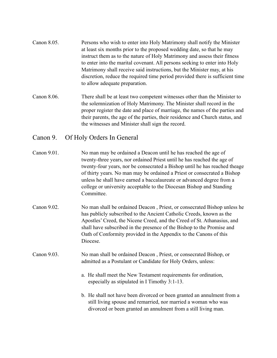- Canon 8.05. Persons who wish to enter into Holy Matrimony shall notify the Minister at least six months prior to the proposed wedding date, so that he may instruct them as to the nature of Holy Matrimony and assess their fitness to enter into the marital covenant. All persons seeking to enter into Holy Matrimony shall receive said instructions, but the Minister may, at his discretion, reduce the required time period provided there is sufficient time to allow adequate preparation.
- Canon 8.06. There shall be at least two competent witnesses other than the Minister to the solemnization of Holy Matrimony. The Minister shall record in the proper register the date and place of marriage, the names of the parties and their parents, the age of the parties, their residence and Church status, and the witnesses and Minister shall sign the record.

# Canon 9. Of Holy Orders In General

- Canon 9.01. No man may be ordained a Deacon until he has reached the age of twenty-three years, nor ordained Priest until he has reached the age of twenty-four years, nor be consecrated a Bishop until he has reached theage of thirty years. No man may be ordained a Priest or consecrated a Bishop unless he shall have earned a baccalaureate or advanced degree from a college or university acceptable to the Diocesan Bishop and Standing **Committee**
- Canon 9.02. No man shall be ordained Deacon , Priest, or consecrated Bishop unless he has publicly subscribed to the Ancient Catholic Creeds, known as the Apostles' Creed, the Nicene Creed, and the Creed of St. Athanasius, and shall have subscribed in the presence of the Bishop to the Promise and Oath of Conformity provided in the Appendix to the Canons of this Diocese.
- Canon 9.03. No man shall be ordained Deacon , Priest, or consecrated Bishop, or admitted as a Postulant or Candidate for Holy Orders, unless:
	- a. He shall meet the New Testament requirements for ordination, especially as stipulated in I Timothy 3:1-13.
	- b. He shall not have been divorced or been granted an annulment from a still living spouse and remarried, nor married a woman who was divorced or been granted an annulment from a still living man.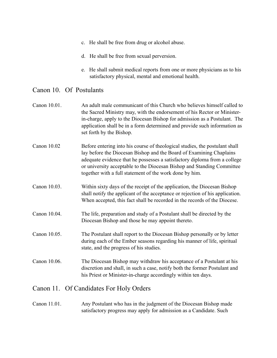- c. He shall be free from drug or alcohol abuse.
- d. He shall be free from sexual perversion.
- e. He shall submit medical reports from one or more physicians as to his satisfactory physical, mental and emotional health.

#### Canon 10. Of Postulants

- Canon 10.01. An adult male communicant of this Church who believes himself called to the Sacred Ministry may, with the endorsement of his Rector or Minister in-charge, apply to the Diocesan Bishop for admission as a Postulant. The application shall be in a form determined and provide such information as set forth by the Bishop.
- Canon 10.02 Before entering into his course of theological studies, the postulant shall lay before the Diocesan Bishop and the Board of Examining Chaplains adequate evidence that he possesses a satisfactory diploma from a college or university acceptable to the Diocesan Bishop and Standing Committee together with a full statement of the work done by him.
- Canon 10.03. Within sixty days of the receipt of the application, the Diocesan Bishop shall notify the applicant of the acceptance or rejection of his application. When accepted, this fact shall be recorded in the records of the Diocese.
- Canon 10.04. The life, preparation and study of a Postulant shall be directed by the Diocesan Bishop and those he may appoint thereto.
- Canon 10.05. The Postulant shall report to the Diocesan Bishop personally or by letter during each of the Ember seasons regarding his manner of life, spiritual state, and the progress of his studies.
- Canon 10.06. The Diocesan Bishop may withdraw his acceptance of a Postulant at his discretion and shall, in such a case, notify both the former Postulant and his Priest or Minister-in-charge accordingly within ten days.

#### Canon 11. Of Candidates For Holy Orders

#### Canon 11.01. Any Postulant who has in the judgment of the Diocesan Bishop made satisfactory progress may apply for admission as a Candidate. Such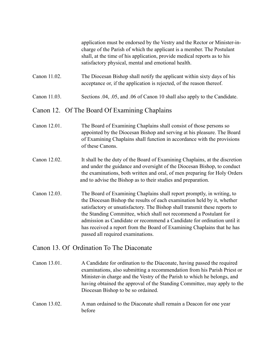application must be endorsed by the Vestry and the Rector or Minister-incharge of the Parish of which the applicant is a member. The Postulant shall, at the time of his application, provide medical reports as to his satisfactory physical, mental and emotional health.

- Canon 11.02. The Diocesan Bishop shall notify the applicant within sixty days of his acceptance or, if the application is rejected, of the reason thereof.
- Canon 11.03. Sections .04, .05, and .06 of Canon 10 shall also apply to the Candidate.

# Canon 12. Of The Board Of Examining Chaplains

- Canon 12.01. The Board of Examining Chaplains shall consist of those persons so appointed by the Diocesan Bishop and serving at his pleasure. The Board of Examining Chaplains shall function in accordance with the provisions of these Canons.
- Canon 12.02. It shall be the duty of the Board of Examining Chaplains, at the discretion and under the guidance and oversight of the Diocesan Bishop, to conduct the examinations, both written and oral, of men preparing for Holy Orders and to advise the Bishop as to their studies and preparation.
- Canon 12.03. The Board of Examining Chaplains shall report promptly, in writing, to the Diocesan Bishop the results of each examination held by it, whether satisfactory or unsatisfactory. The Bishop shall transmit these reports to the Standing Committee, which shall not recommend a Postulant for admission as Candidate or recommend a Candidate for ordination until it has received a report from the Board of Examining Chaplains that he has passed all required examinations.

#### Canon 13. Of Ordination To The Diaconate

Canon 13.01. A Candidate for ordination to the Diaconate, having passed the required examinations, also submitting a recommendation from his Parish Priest or Minister-in charge and the Vestry of the Parish to which he belongs, and having obtained the approval of the Standing Committee, may apply to the Diocesan Bishop to be so ordained.

Canon 13.02. A man ordained to the Diaconate shall remain a Deacon for one year before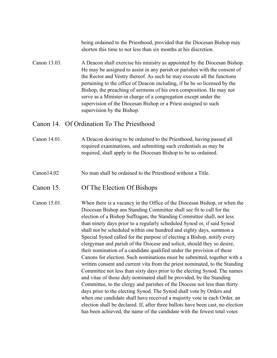being ordained to the Priesthood, provided that the Diocesan Bishop may shorten this time to not less than six months at his discretion.

Canon 13.03. A Deacon shall exercise his ministry as appointed by the Diocesan Bishop. He may be assigned to assist in any parish or parishes with the consent of the Rector and Vestry thereof. As such he may execute all the functions pertaining to the office of Deacon including, if he be so licensed by the Bishop, the preaching of sermons of his own composition. He may not serve as a Minister-in charge of a congregation except under the supervision of the Diocesan Bishop or a Priest assigned to such supervision by the Bishop.

#### Canon 14. Of Ordination To The Priesthood

#### Canon 14.01. A Deacon desiring to be ordained to the Priesthood, having passed all required examinations, and submitting such credentials as may be required, shall apply to the Diocesan Bishop to be so ordained.

Canon14.02 No man shall be ordained to the Priesthood without a Title.

#### Canon 15. Of The Election Of Bishops

Canon 15.01. When there is a vacancy in the Office of the Diocesan Bishop, or when the Diocesan Bishop ans Standing Committee shall see fit to call for the election of a Bishop Suffragan, the Standing Committee shall, not less than ninety days prior to a regularly scheduled Synod or, if said Synod shall not be scheduled within one hundred and eighty days, summon a Special Synod called for the purpose of electing a Bishop, notify every clergyman and parish of the Diocese and solicit, should they so desire, their nomination of a candidate qualified under the provision of these Canons for election. Such nominations must be submitted, together with a written consent and current vita from the priest nominated, to the Standing Committee not less than sixty days prior to the electing Synod. The names and vitae of those duly nominated shall be provided, by the Standing Committee, to the clergy and parishes of the Diocese not less than thirty days prior to the electing Synod. The Synod shall vote by Orders and when one candidate shall have received a majority vote in each Order, an election shall be declared. If, after three ballots have been cast, no election has been achieved, the name of the candidate with the fewest total votes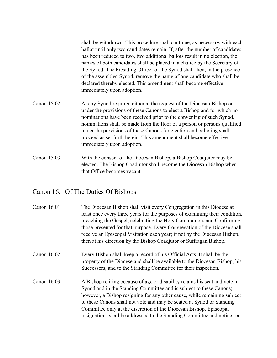shall be withdrawn. This procedure shall continue, as necessary, with each ballot until only two candidates remain. If, after the number of candidates has been reduced to two, two additional ballots result in no election, the names of both candidates shall be placed in a chalice by the Secretary of the Synod. The Presiding Officer of the Synod shall then, in the presence of the assembled Synod, remove the name of one candidate who shall be declared thereby elected. This amendment shall become effective immediately upon adoption.

- Canon 15.02 At any Synod required either at the request of the Diocesan Bishop or under the provisions of these Canons to elect a Bishop and for which no nominations have been received prior to the convening of such Synod, nominations shall be made from the floor of a person or persons qualified under the provisions of these Canons for election and balloting shall proceed as set forth herein. This amendment shall become effective immediately upon adoption.
- Canon 15.03. With the consent of the Diocesan Bishop, a Bishop Coadjutor may be elected. The Bishop Coadjutor shall become the Diocesan Bishop when that Office becomes vacant.

# Canon 16. Of The Duties Of Bishops

| Canon 16.01. | The Diocesan Bishop shall visit every Congregation in this Diocese at<br>least once every three years for the purposes of examining their condition,<br>preaching the Gospel, celebrating the Holy Communion, and Confirming<br>those presented for that purpose. Every Congregation of the Diocese shall<br>receive an Episcopal Visitation each year; if not by the Diocesan Bishop,<br>then at his direction by the Bishop Coadjutor or Suffragan Bishop. |
|--------------|--------------------------------------------------------------------------------------------------------------------------------------------------------------------------------------------------------------------------------------------------------------------------------------------------------------------------------------------------------------------------------------------------------------------------------------------------------------|
| Canon 16.02. | Every Bishop shall keep a record of his Official Acts. It shall be the<br>property of the Diocese and shall be available to the Diocesan Bishop, his<br>Successors, and to the Standing Committee for their inspection.                                                                                                                                                                                                                                      |
| Canon 16.03. | A Bishop retiring because of age or disability retains his seat and vote in<br>Synod and in the Standing Committee and is subject to these Canons;<br>however, a Bishop resigning for any other cause, while remaining subject<br>to these Canons shall not vote and may be seated at Synod or Standing<br>Committee only at the discretion of the Diocesan Bishop. Episcopal<br>resignations shall be addressed to the Standing Committee and notice sent   |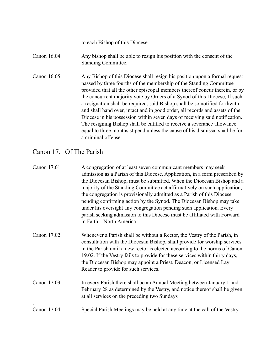to each Bishop of this Diocese.

#### Canon 16.04 Any bishop shall be able to resign his position with the consent of the Standing Committee.

Canon 16.05 Any Bishop of this Diocese shall resign his position upon a formal request passed by three fourths of the membership of the Standing Committee provided that all the other episcopal members thereof concur therein, or by the concurrent majority vote by Orders of a Synod of this Diocese, If such a resignation shall be required, said Bishop shall be so notified forthwith and shall hand over, intact and in good order, all records and assets of the Diocese in his possession within seven days of receiving said notification. The resigning Bishop shall be entitled to receive a severance allowance equal to three months stipend unless the cause of his dismissal shall be for a criminal offense.

# Canon 17. Of The Parish

| Canon 17.01. | A congregation of at least seven communicant members may seek<br>admission as a Parish of this Diocese. Application, in a form prescribed by<br>the Diocesan Bishop, must be submitted. When the Diocesan Bishop and a<br>majority of the Standing Committee act affirmatively on such application,<br>the congregation is provisionally admitted as a Parish of this Diocese<br>pending confirming action by the Synod. The Diocesan Bishop may take<br>under his oversight any congregation pending such application. Every<br>parish seeking admission to this Diocese must be affiliated with Forward<br>in Faith – North America. |
|--------------|----------------------------------------------------------------------------------------------------------------------------------------------------------------------------------------------------------------------------------------------------------------------------------------------------------------------------------------------------------------------------------------------------------------------------------------------------------------------------------------------------------------------------------------------------------------------------------------------------------------------------------------|
| Canon 17.02. | Whenever a Parish shall be without a Rector, the Vestry of the Parish, in<br>consultation with the Diocesan Bishop, shall provide for worship services<br>in the Parish until a new rector is elected according to the norms of Canon<br>19.02. If the Vestry fails to provide for these services within thirty days,<br>the Diocesan Bishop may appoint a Priest, Deacon, or Licensed Lay<br>Reader to provide for such services.                                                                                                                                                                                                     |
| Canon 17.03. | In every Parish there shall be an Annual Meeting between January 1 and<br>February 28 as determined by the Vestry, and notice thereof shall be given<br>at all services on the preceding two Sundays                                                                                                                                                                                                                                                                                                                                                                                                                                   |
| Canon 17.04. | Special Parish Meetings may be held at any time at the call of the Vestry                                                                                                                                                                                                                                                                                                                                                                                                                                                                                                                                                              |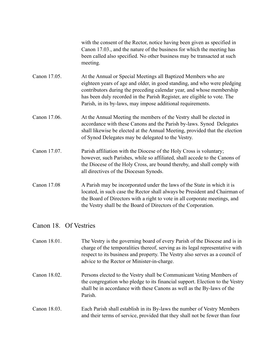with the consent of the Rector, notice having been given as specified in Canon 17.03., and the nature of the business for which the meeting has been called also specified. No other business may be transacted at such meeting.

- Canon 17.05. At the Annual or Special Meetings all Baptized Members who are eighteen years of age and older, in good standing, and who were pledging contributors during the preceding calendar year, and whose membership has been duly recorded in the Parish Register, are eligible to vote. The Parish, in its by-laws, may impose additional requirements.
- Canon 17.06. At the Annual Meeting the members of the Vestry shall be elected in accordance with these Canons and the Parish by-laws. Synod Delegates shall likewise be elected at the Annual Meeting, provided that the election of Synod Delegates may be delegated to the Vestry.
- Canon 17.07. Parish affiliation with the Diocese of the Holy Cross is voluntary; however, such Parishes, while so affiliated, shall accede to the Canons of the Diocese of the Holy Cross, are bound thereby, and shall comply with all directives of the Diocesan Synods.
- Canon 17.08 A Parish may be incorporated under the laws of the State in which it is located, in such case the Rector shall always be President and Chairman of the Board of Directors with a right to vote in all corporate meetings, and the Vestry shall be the Board of Directors of the Corporation.

#### Canon 18. Of Vestries

Canon 18.01. The Vestry is the governing board of every Parish of the Diocese and is in charge of the temporalities thereof, serving as its legal representative with respect to its business and property. The Vestry also serves as a council of advice to the Rector or Minister-in-charge. Canon 18.02. Persons elected to the Vestry shall be Communicant Voting Members of the congregation who pledge to its financial support. Election to the Vestry shall be in accordance with these Canons as well as the By-laws of the Parish. Canon 18.03. Each Parish shall establish in its By-laws the number of Vestry Members and their terms of service, provided that they shall not be fewer than four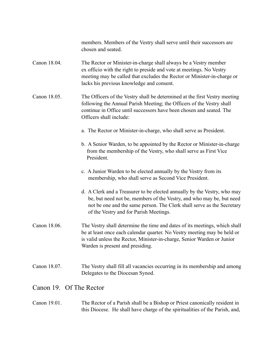members. Members of the Vestry shall serve until their successors are chosen and seated.

- Canon 18.04. The Rector or Minister-in-charge shall always be a Vestry member ex officio with the right to preside and vote at meetings. No Vestry meeting may be called that excludes the Rector or Minister-in-charge or lacks his previous knowledge and consent.
- Canon 18.05. The Officers of the Vestry shall be determined at the first Vestry meeting following the Annual Parish Meeting; the Officers of the Vestry shall continue in Office until successors have been chosen and seated. The Officers shall include:
	- a. The Rector or Minister-in-charge, who shall serve as President.
	- b. A Senior Warden, to be appointed by the Rector or Minister-in-charge from the membership of the Vestry, who shall serve as First Vice President.
	- c. A Junior Warden to be elected annually by the Vestry from its membership, who shall serve as Second Vice President.
	- d. A Clerk and a Treasurer to be elected annually by the Vestry, who may be, but need not be, members of the Vestry, and who may be, but need not be one and the same person. The Clerk shall serve as the Secretary of the Vestry and for Parish Meetings.
- Canon 18.06. The Vestry shall determine the time and dates of its meetings, which shall be at least once each calendar quarter. No Vestry meeting may be held or is valid unless the Rector, Minister-in-charge, Senior Warden or Junior Warden is present and presiding.
- Canon 18.07. The Vestry shall fill all vacancies occurring in its membership and among Delegates to the Diocesan Synod.

#### Canon 19. Of The Rector

Canon 19.01. The Rector of a Parish shall be a Bishop or Priest canonically resident in this Diocese. He shall have charge of the spiritualities of the Parish, and,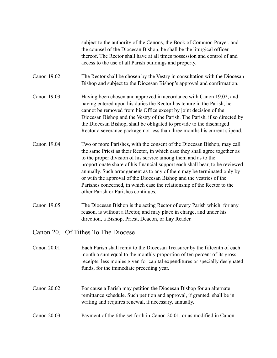subject to the authority of the Canons, the Book of Common Prayer, and the counsel of the Diocesan Bishop, he shall be the liturgical officer thereof. The Rector shall have at all times possession and control of and access to the use of all Parish buildings and property.

- Canon 19.02. The Rector shall be chosen by the Vestry in consultation with the Diocesan Bishop and subject to the Diocesan Bishop's approval and confirmation.
- Canon 19.03. Having been chosen and approved in accordance with Canon 19.02, and having entered upon his duties the Rector has tenure in the Parish, he cannot be removed from his Office except by joint decision of the Diocesan Bishop and the Vestry of the Parish. The Parish, if so directed by the Diocesan Bishop, shall be obligated to provide to the discharged Rector a severance package not less than three months his current stipend.
- Canon 19.04. Two or more Parishes, with the consent of the Diocesan Bishop, may call the same Priest as their Rector, in which case they shall agree together as to the proper division of his service among them and as to the proportionate share of his financial support each shall bear, to be reviewed annually. Such arrangement as to any of them may be terminated only by or with the approval of the Diocesan Bishop and the vestries of the Parishes concerned, in which case the relationship of the Rector to the other Parish or Parishes continues.
- Canon 19.05. The Diocesan Bishop is the acting Rector of every Parish which, for any reason, is without a Rector, and may place in charge, and under his direction, a Bishop, Priest, Deacon, or Lay Reader.

Canon 20. Of Tithes To The Diocese

- Canon 20.01. Each Parish shall remit to the Diocesan Treasurer by the fifteenth of each month a sum equal to the monthly proportion of ten percent of its gross receipts, less monies given for capital expenditures or specially designated funds, for the immediate preceding year.
- Canon 20.02. For cause a Parish may petition the Diocesan Bishop for an alternate remittance schedule. Such petition and approval, if granted, shall be in writing and requires renewal, if necessary, annually.
- Canon 20.03. Payment of the tithe set forth in Canon 20.01, or as modified in Canon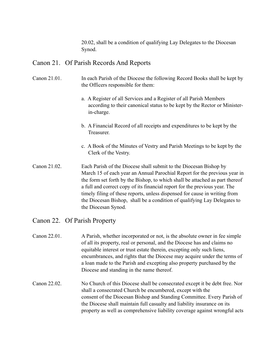20.02, shall be a condition of qualifying Lay Delegates to the Diocesan Synod.

# Canon 21. Of Parish Records And Reports

#### Canon 21.01. In each Parish of the Diocese the following Record Books shall be kept by the Officers responsible for them:

- a. A Register of all Services and a Register of all Parish Members according to their canonical status to be kept by the Rector or Minister in-charge.
- b. A Financial Record of all receipts and expenditures to be kept by the Treasurer.
- c. A Book of the Minutes of Vestry and Parish Meetings to be kept by the Clerk of the Vestry.
- Canon 21.02. Each Parish of the Diocese shall submit to the Diocesan Bishop by March 15 of each year an Annual Parochial Report for the previous year in the form set forth by the Bishop, to which shall be attached as part thereof a full and correct copy of its financial report for the previous year. The timely filing of these reports, unless dispensed for cause in writing from the Diocesan Bishop, shall be a condition of qualifying Lay Delegates to the Diocesan Synod.

# Canon 22. Of Parish Property

- Canon 22.01. A Parish, whether incorporated or not, is the absolute owner in fee simple of all its property, real or personal, and the Diocese has and claims no equitable interest or trust estate therein, excepting only such liens, encumbrances, and rights that the Diocese may acquire under the terms of a loan made to the Parish and excepting also property purchased by the Diocese and standing in the name thereof.
- Canon 22.02. No Church of this Diocese shall be consecrated except it be debt free. Nor shall a consecrated Church be encumbered, except with the consent of the Diocesan Bishop and Standing Committee. Every Parish of the Diocese shall maintain full casualty and liability insurance on its property as well as comprehensive liability coverage against wrongful acts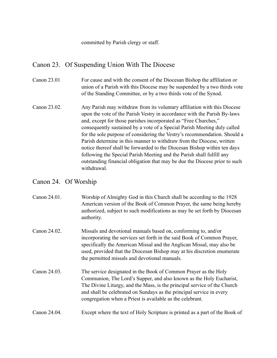committed by Parish clergy or staff.

# Canon 23. Of Suspending Union With The Diocese

- Canon 23.01 For cause and with the consent of the Diocesan Bishop the affiliation or union of a Parish with this Diocese may be suspended by a two thirds vote of the Standing Committee, or by a two thirds vote of the Synod.
- Canon 23.02. Any Parish may withdraw from its voluntary affiliation with this Diocese upon the vote of the Parish Vestry in accordance with the Parish By-laws and, except for those parishes incorporated as "Free Churches," consequently sustained by a vote of a Special Parish Meeting duly called for the sole purpose of considering the Vestry's recommendation. Should a Parish determine in this manner to withdraw from the Diocese, written notice thereof shall be forwarded to the Diocesan Bishop within ten days following the Special Parish Meeting and the Parish shall fulfill any outstanding financial obligation that may be due the Diocese prior to such withdrawal.

#### Canon 24. Of Worship

| Worship of Almighty God in this Church shall be according to the 1928     |
|---------------------------------------------------------------------------|
| American version of the Book of Common Prayer, the same being hereby      |
| authorized, subject to such modifications as may be set forth by Diocesan |
|                                                                           |
|                                                                           |

- Canon 24.02. Missals and devotional manuals based on, conforming to, and/or incorporating the services set forth in the said Book of Common Prayer, specifically the American Missal and the Anglican Missal, may also be used, provided that the Diocesan Bishop may at his discretion enumerate the permitted missals and devotional manuals.
- Canon 24.03. The service designated in the Book of Common Prayer as the Holy Communion, The Lord's Supper, and also known as the Holy Eucharist, The Divine Liturgy, and the Mass, is the principal service of the Church and shall be celebrated on Sundays as the principal service in every congregation when a Priest is available as the celebrant.

#### Canon 24.04. Except where the text of Holy Scripture is printed as a part of the Book of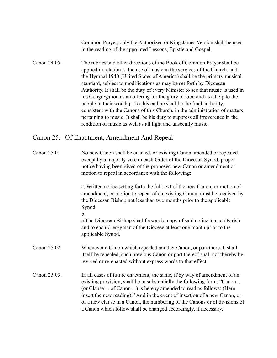Common Prayer, only the Authorized or King James Version shall be used in the reading of the appointed Lessons, Epistle and Gospel.

Canon 24.05. The rubrics and other directions of the Book of Common Prayer shall be applied in relation to the use of music in the services of the Church, and the Hymnal 1940 (United States of America) shall be the primary musical standard, subject to modifications as may be set forth by Diocesan Authority. It shall be the duty of every Minister to see that music is used in his Congregation as an offering for the glory of God and as a help to the people in their worship. To this end he shall be the final authority, consistent with the Canons of this Church, in the administration of matters pertaining to music. It shall be his duty to suppress all irreverence in the rendition of music as well as all light and unseemly music.

#### Canon 25. Of Enactment, Amendment And Repeal

b.

Canon 25.01. No new Canon shall be enacted, or existing Canon amended or repealed except by a majority vote in each Order of the Diocesan Synod, proper notice having been given of the proposed new Canon or amendment or motion to repeal in accordance with the following:

> a. Written notice setting forth the full text of the new Canon, or motion of amendment, or motion to repeal of an existing Canon, must be received by the Diocesan Bishop not less than two months prior to the applicable Synod.

c.The Diocesan Bishop shall forward a copy of said notice to each Parish and to each Clergyman of the Diocese at least one month prior to the applicable Synod.

- Canon 25.02. Whenever a Canon which repealed another Canon, or part thereof, shall itself be repealed, such previous Canon or part thereof shall not thereby be revived or re-enacted without express words to that effect.
- Canon 25.03. In all cases of future enactment, the same, if by way of amendment of an existing provision, shall be in substantially the following form: "Canon .. (or Clause ... of Canon ...) is hereby amended to read as follows: (Here insert the new reading)." And in the event of insertion of a new Canon, or of a new clause in a Canon, the numbering of the Canons or of divisions of a Canon which follow shall be changed accordingly, if necessary.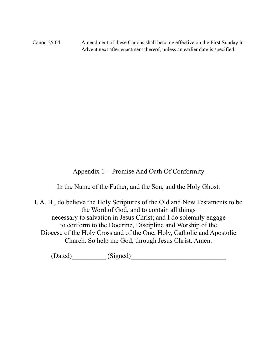Canon 25.04. Amendment of these Canons shall become effective on the First Sunday in Advent next after enactment thereof, unless an earlier date is specified.

Appendix 1 - Promise And Oath Of Conformity

In the Name of the Father, and the Son, and the Holy Ghost.

I, A. B., do believe the Holy Scriptures of the Old and New Testaments to be the Word of God, and to contain all things necessary to salvation in Jesus Christ; and I do solemnly engage to conform to the Doctrine, Discipline and Worship of the Diocese of the Holy Cross and of the One, Holy, Catholic and Apostolic Church. So help me God, through Jesus Christ. Amen.

 $(Dated)$  (Signed)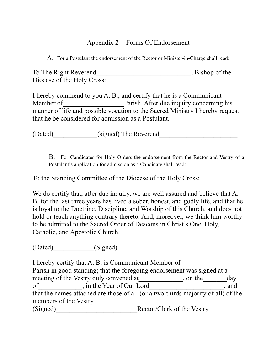# Appendix 2 - Forms Of Endorsement

A. For a Postulant the endorsement of the Rector or Minister-in-Charge shall read:

| To The Right Reverend      | , Bishop of the |
|----------------------------|-----------------|
| Diocese of the Holy Cross: |                 |

I hereby commend to you A. B., and certify that he is a Communicant Member of Parish. After due inquiry concerning his manner of life and possible vocation to the Sacred Ministry I hereby request that he be considered for admission as a Postulant.

(Dated) (signed) The Reverend

B. For Candidates for Holy Orders the endorsement from the Rector and Vestry of a Postulant's application for admission as a Candidate shall read:

To the Standing Committee of the Diocese of the Holy Cross:

We do certify that, after due inquiry, we are well assured and believe that A. B. for the last three years has lived a sober, honest, and godly life, and that he is loyal to the Doctrine, Discipline, and Worship of this Church, and does not hold or teach anything contrary thereto. And, moreover, we think him worthy to be admitted to the Sacred Order of Deacons in Christ's One, Holy, Catholic, and Apostolic Church.

(Dated)\_\_\_\_\_\_\_\_\_\_\_\_(Signed)

I hereby certify that A. B. is Communicant Member of Parish in good standing; that the foregoing endorsement was signed at a meeting of the Vestry duly convened at \_\_\_\_\_\_\_\_\_\_\_\_, on the \_\_\_\_\_\_day of figures in the Year of Our Lord the Search state and state of Our Lord that the names attached are those of all (or a two-thirds majority of all) of the members of the Vestry.

(Signed) Rector/Clerk of the Vestry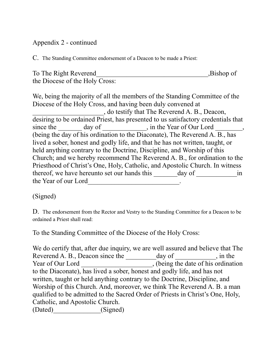# Appendix 2 - continued

C. The Standing Committee endorsement of a Deacon to be made a Priest:

| To The Right Reverend          | ,Bishop of |
|--------------------------------|------------|
| the Diocese of the Holy Cross: |            |

We, being the majority of all the members of the Standing Committee of the Diocese of the Holy Cross, and having been duly convened at \_\_\_\_\_\_\_\_\_\_\_\_\_\_\_\_\_\_\_\_\_, do testify that The Reverend A. B., Deacon, desiring to be ordained Priest, has presented to us satisfactory credentials that since the  $\_\_\_\_\_\_\$  day of  $\_\_\_\_\_\_\_\_\_\_\_\$  in the Year of Our Lord  $\_\_\_\_\_\_\_\_\_\_\_\_\_\_$ (being the day of his ordination to the Diaconate), The Reverend A. B., has lived a sober, honest and godly life, and that he has not written, taught, or held anything contrary to the Doctrine, Discipline, and Worship of this Church; and we hereby recommend The Reverend A. B., for ordination to the Priesthood of Christ's One, Holy, Catholic, and Apostolic Church. In witness thereof, we have hereunto set our hands this day of  $\qquad \qquad$  in the Year of our Lord

(Signed)

D. The endorsement from the Rector and Vestry to the Standing Committee for a Deacon to be ordained a Priest shall read:

To the Standing Committee of the Diocese of the Holy Cross:

We do certify that, after due inquiry, we are well assured and believe that The Reverend A. B., Deacon since the day of day of  $\frac{1}{\sqrt{2\pi}}$ , in the Year of Our Lord  $\frac{1}{\sqrt{1-\frac{1}{\sqrt{1-\frac{1}{\sqrt{1-\frac{1}{\sqrt{1-\frac{1}{\sqrt{1-\frac{1}{\sqrt{1-\frac{1}{\sqrt{1-\frac{1}{\sqrt{1-\frac{1}{\sqrt{1-\frac{1}{\sqrt{1-\frac{1}{\sqrt{1-\frac{1}{\sqrt{1-\frac{1}{\sqrt{1-\frac{1}{\sqrt{1-\frac{1}{\sqrt{1-\frac{1}{\sqrt{1-\frac{1}{\sqrt{1-\frac{1}{\sqrt{1-\frac{1}{\sqrt{1-\frac{1}{\sqrt{1-\frac{1}{\sqrt{1-\frac{1}{\sqrt{1-\frac{1}{\sqrt{1-\frac{1}{\sqrt{1-\frac{1$ to the Diaconate), has lived a sober, honest and godly life, and has not written, taught or held anything contrary to the Doctrine, Discipline, and Worship of this Church. And, moreover, we think The Reverend A. B. a man qualified to be admitted to the Sacred Order of Priests in Christ's One, Holy, Catholic, and Apostolic Church. (Dated) (Signed)